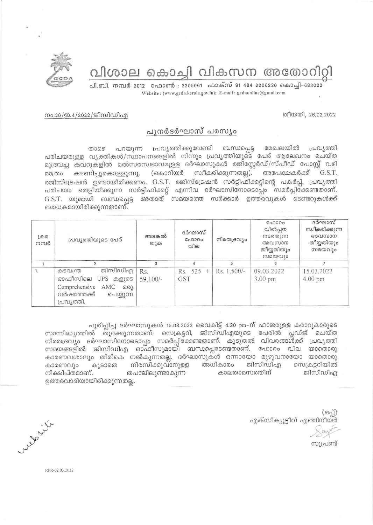വിശാല കൊച്ചി വികസന അതോറിറ്റി



പി.ബി. നമ്പർ 2012 ഫോൺ : 2205061 ഫാക്സ് 91 484 2206230 കൊച്ചി–682020 Website: (www.gcda.kerala.gov.in); E-mail: gcdaonline@gmail.com

തീയതി, 26.02.2022

നം.20/ഇ.4/2022/ജിസിഡിഎ

## പുനർദർഘാസ് പരസ്യം

പ്രവ്യത്തിക്കുവേണ്ടി ബന്ധപ്പെട്ട മേഖലയിൽ പറയുന്ന പ്രവൃത്തി கை പരിചയമുള്ള വൃക്തികൾ/സ്ഥാപനങ്ങളിൽ നിന്നും പ്രവൃത്തിയുടെ പേര് ആലേഖനം ചെയ്ത മുദ്രവച്ച കവറുകളിൽ മൽസരസ്വഭാവമുള്ള ദർഘാസുകൾ രജിസ്റ്റേർഡ്/സ്പീഡ് പോസ്റ്റ് വഴി ക്ഷണിച്ചുകൊള്ളുന്നു. (കൊറിയർ സ്വീകരിക്കുന്നതല്ല). അപേക്ഷകർക്ക് G.S.T. മാത്രം രജിസ്ട്രേഷൻ ഉണ്ടായിരിക്കണം. G.S.T. രജിസ്ട്രേഷൻ സർട്ടിഫിക്കറ്റിന്റെ പകർപ്പ്, പ്രവൃത്തി പരിചയം തെളിയിക്കുന്ന സർട്ടിഫിക്കറ്റ് എന്നിവ ദർഘാസിനോടൊപ്പം സമർപ്പിക്കേണ്ടതാണ്.  $G.S.T.$  യുമായി ബന്ധപ്പെട്ട അതാത് സമയത്തെ സർക്കാർ ഉത്തരവുകൾ ടെണ്ടറുകൾക്ക് ബാധകമായിരിക്കുന്നതാണ്.

| $L \oplus \varpi$<br>നമ്പർ | പ്രവ്യത്തിയുടെ പേര്                                                                                                 | അടങ്കൽ<br>തുക     | ദർഘാസ്<br>C <sub>0</sub> 000<br>വില | നിരതദ്രവ്യം | GAD300<br>വിൽപ്പന<br>നടത്തുന്ന<br>അവസാന<br>തീയ്യതിയും<br>സമയവും | ദർഘാസ്<br>സ്വീകരിക്കുന്ന<br>അവസാന<br>തീയ്യതിയും<br>സമയവും |
|----------------------------|---------------------------------------------------------------------------------------------------------------------|-------------------|-------------------------------------|-------------|-----------------------------------------------------------------|-----------------------------------------------------------|
|                            |                                                                                                                     | 3                 | 4                                   | 5           | $\epsilon$                                                      |                                                           |
| $\mathbf{1}$ .             | ജിസിഡിഎ<br>കടവന്ത്ര<br>ഓഫീസിലെ UPS കളുടെ<br>Comprehensive<br>AMC<br>6301<br>വർഷത്തേക്ക്<br>ചെയ്യുന്ന<br>പ്രവ്യത്തി. | Rs.<br>$59,100/-$ | Rs. 525<br>$+$<br><b>GST</b>        | Rs. 1,500/- | 09.03.2022<br>$3.00 \text{ pm}$                                 | 15.03.2022<br>4.00 pm                                     |

പൂരിപ്പിച്ച ദർഘാസുകൾ 15.03.2022 വൈകിട്ട് 4.30 pm-ന് ഹാജരുള്ള കരാറുകാരുടെ സാന്നിദ്ധ്യത്തിൽ തുറക്കുന്നതാണ്. സെക്രട്ടറി, ജിസിഡിഎയുടെ പേരിൽ പ്ലഡ്ജ് ചെയ്ത നിരതദ്രവും ദർഘാസിനോടൊപ്പം സമർപ്പിക്കേണ്ടതാണ്. കൂടുതൽ വിവരങ്ങൾ്ക്ക് പ്രവൃത്തി സമയങ്ങളിൽ ജിസിഡിഎ ഓഫീസുമായി ബന്ധപ്പെടേണ്ടതാണ്. ഫോറം വില യാതൊരു കാരണവശാലും തിരികെ നൽകുന്നതല്ല. ദർഘാസുകൾ ഒന്നായോ മുഴുവനായോ യാതൊരു കൂടാതെ അധികാരം ജിസിഡിഎ സെക്രട്ടറിയിൽ കാരണവും നിരസിക്കുവാനുള്ള നിക്ഷിപ്തമാണ്. കാലതാമസത്തിന് ജിസിഡിഎ തപാലിലുണ്ടാകുന്ന ഉത്തരവാദിയായിരിക്കുന്നതല്ല.

 $($  $\odot$ എക്സിക്യൂട്ടീവ് എഞ്ചിനീയർ

സൂപ്രണ്ട്

with

RPR-02.03.2022